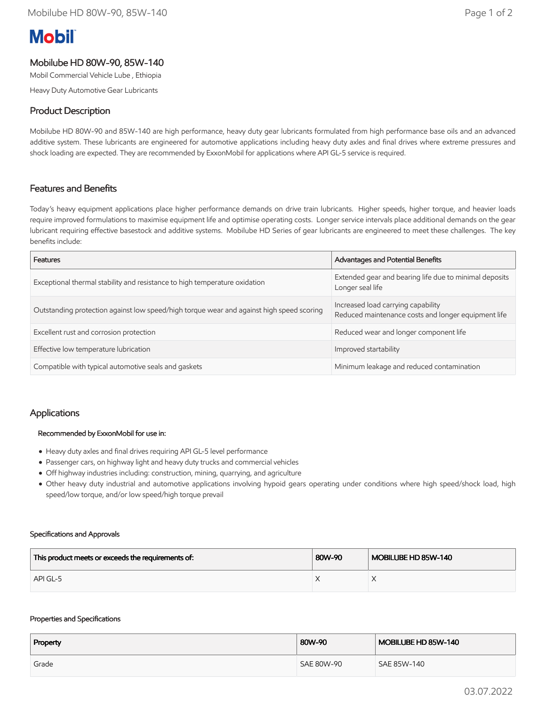# **Mobil**

## Mobilube HD 80W-90, 85W-140

Mobil Commercial Vehicle Lube , Ethiopia

Heavy Duty Automotive Gear Lubricants

### Product Description

Mobilube HD 80W-90 and 85W-140 are high performance, heavy duty gear lubricants formulated from high performance base oils and an advanced additive system. These lubricants are engineered for automotive applications including heavy duty axles and final drives where extreme pressures and shock loading are expected. They are recommended by ExxonMobil for applications where API GL-5 service is required.

#### Features and Benefits

Today's heavy equipment applications place higher performance demands on drive train lubricants. Higher speeds, higher torque, and heavier loads require improved formulations to maximise equipment life and optimise operating costs. Longer service intervals place additional demands on the gear lubricant requiring effective basestock and additive systems. Mobilube HD Series of gear lubricants are engineered to meet these challenges. The key benefits include:

| Features                                                                                 | Advantages and Potential Benefits                                                         |  |
|------------------------------------------------------------------------------------------|-------------------------------------------------------------------------------------------|--|
| Exceptional thermal stability and resistance to high temperature oxidation               | Extended gear and bearing life due to minimal deposits<br>Longer seal life                |  |
| Outstanding protection against low speed/high torque wear and against high speed scoring | Increased load carrying capability<br>Reduced maintenance costs and longer equipment life |  |
| Excellent rust and corrosion protection                                                  | Reduced wear and longer component life                                                    |  |
| Effective low temperature lubrication                                                    | Improved startability                                                                     |  |
| Compatible with typical automotive seals and gaskets                                     | Minimum leakage and reduced contamination                                                 |  |

#### Applications

#### Recommended by ExxonMobil for use in:

- Heavy duty axles and final drives requiring API GL-5 level performance
- Passenger cars, on highway light and heavy duty trucks and commercial vehicles
- Off highway industries including: construction, mining, quarrying, and agriculture
- Other heavy duty industrial and automotive applications involving hypoid gears operating under conditions where high speed/shock load, high speed/low torque, and/or low speed/high torque prevail

#### Specifications and Approvals

| This product meets or exceeds the requirements of: | 80W-90 | MOBILUBE HD 85W-140 |
|----------------------------------------------------|--------|---------------------|
| API GL-5                                           |        |                     |

#### Properties and Specifications

| Property | 80W-90     | MOBILUBE HD 85W-140 |
|----------|------------|---------------------|
| Grade    | SAE 80W-90 | SAE 85W-140         |